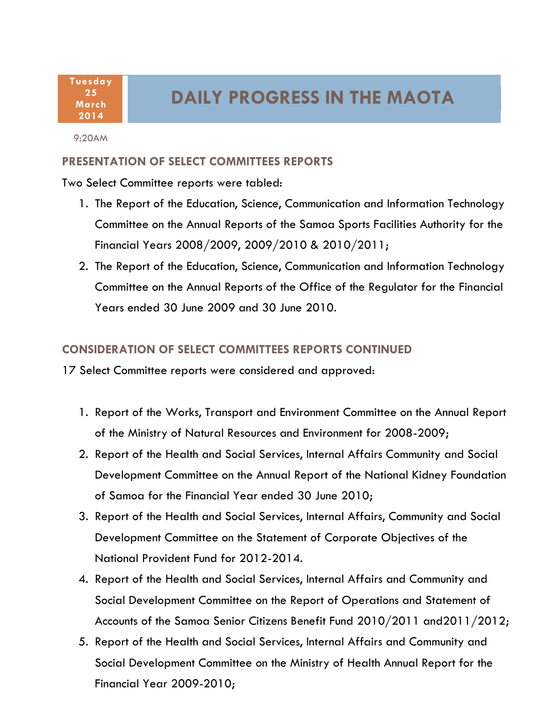**Tuesday 25 March 2014**

## **DAILY PROGRESS IN THE MAOTA**

9:20AM

## **PRESENTATION OF SELECT COMMITTEES REPORTS**

Two Select Committee reports were tabled:

- 1. The Report of the Education, Science, Communication and Information Technology Committee on the Annual Reports of the Samoa Sports Facilities Authority for the Financial Years 2008/2009, 2009/2010 & 2010/2011;
- 2. The Report of the Education, Science, Communication and Information Technology Committee on the Annual Reports of the Office of the Regulator for the Financial Years ended 30 June 2009 and 30 June 2010.

## **CONSIDERATION OF SELECT COMMITTEES REPORTS CONTINUED**

17 Select Committee reports were considered and approved:

- 1. Report of the Works, Transport and Environment Committee on the Annual Report of the Ministry of Natural Resources and Environment for 2008-2009;
- 2. Report of the Health and Social Services, Internal Affairs Community and Social Development Committee on the Annual Report of the National Kidney Foundation of Samoa for the Financial Year ended 30 June 2010;
- 3. Report of the Health and Social Services, Internal Affairs, Community and Social Development Committee on the Statement of Corporate Objectives of the National Provident Fund for 2012-2014.
- 4. Report of the Health and Social Services, Internal Affairs and Community and Social Development Committee on the Report of Operations and Statement of Accounts of the Samoa Senior Citizens Benefit Fund 2010/2011 and2011/2012;
- 1 Social Development Committee on the Ministry of Health Annual Report for the 5. Report of the Health and Social Services, Internal Affairs and Community and Financial Year 2009-2010;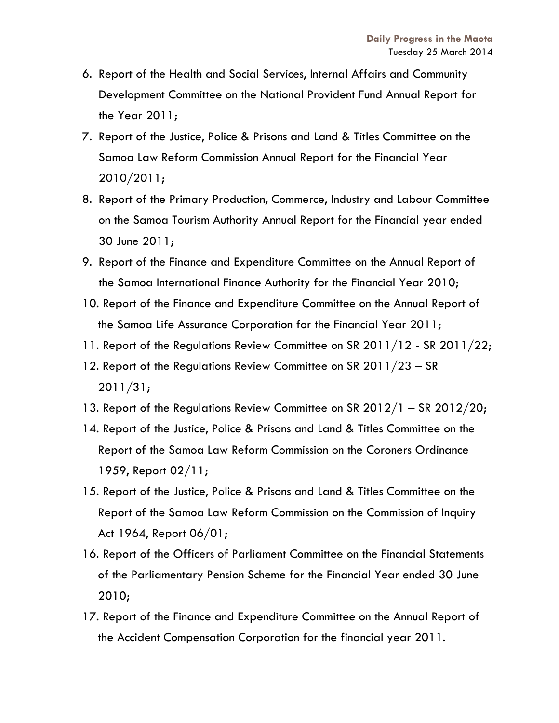- 6. Report of the Health and Social Services, Internal Affairs and Community Development Committee on the National Provident Fund Annual Report for the Year 2011;
- 7. Report of the Justice, Police & Prisons and Land & Titles Committee on the Samoa Law Reform Commission Annual Report for the Financial Year 2010/2011;
- 8. Report of the Primary Production, Commerce, Industry and Labour Committee on the Samoa Tourism Authority Annual Report for the Financial year ended 30 June 2011;
- 9. Report of the Finance and Expenditure Committee on the Annual Report of the Samoa International Finance Authority for the Financial Year 2010;
- 10. Report of the Finance and Expenditure Committee on the Annual Report of the Samoa Life Assurance Corporation for the Financial Year 2011;
- 11. Report of the Regulations Review Committee on SR 2011/12 SR 2011/22;
- 12. Report of the Regulations Review Committee on SR 2011/23 SR 2011/31;
- 13. Report of the Regulations Review Committee on SR 2012/1 SR 2012/20;
- 14. Report of the Justice, Police & Prisons and Land & Titles Committee on the Report of the Samoa Law Reform Commission on the Coroners Ordinance 1959, Report 02/11;
- 15. Report of the Justice, Police & Prisons and Land & Titles Committee on the Report of the Samoa Law Reform Commission on the Commission of Inquiry Act 1964, Report 06/01;
- 16. Report of the Officers of Parliament Committee on the Financial Statements of the Parliamentary Pension Scheme for the Financial Year ended 30 June 2010;
- 17. Report of the Finance and Expenditure Committee on the Annual Report of the Accident Compensation Corporation for the financial year 2011.